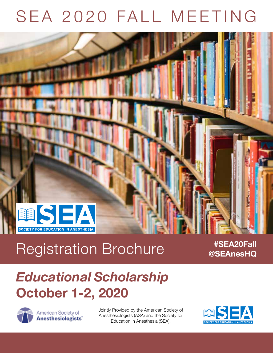# SEA 2020 FALL MEETING



# Registration Brochure *#SEA20Fall*

**@SEAnesHQ**

## *Educational Scholarship* **October 1-2, 2020**



American Society of Anesthesiologists" Jointly Provided by the American Society of Anesthesiologists (ASA) and the Society for Education in Anesthesia (SEA).

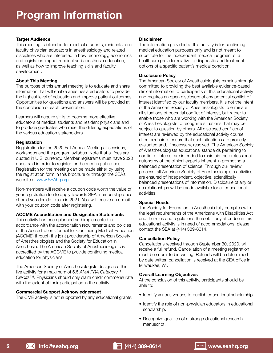#### **Target Audience**

This meeting is intended for medical students, residents, and faculty physician educators in anesthesiology and related disciplines who are interested in how technology, economics and legislation impact medical and anesthesia education, as well as how to improve teaching skills and faculty development.

#### **About This Meeting**

The purpose of this annual meeting is to educate and share information that will enable anesthesia educators to provide the highest level of education and improve patient outcomes. Opportunities for questions and answers will be provided at the conclusion of each presentation.

Learners will acquire skills to become more effective educators of medical students and resident physicians and to produce graduates who meet the differing expectations of the various education stakeholders.

#### **Registration**

Registration for the 2020 Fall Annual Meeting all sessions, workshops and the program syllabus. Note that all fees are quoted in U.S. currency. Member registrants must have 2020 dues paid in order to register for the meeting at no cost. Registration for the meeting can be made either by using the registration form in this brochure or through the SEA's website at www.SEAhq.org.

Non-members will receive a coupon code worth the value of your registration fee to apply towards SEA membership dues should you decide to join in 2021. You will receive an e-mail with your coupon code after registering.

#### **ACCME Accreditation and Designation Statements**

This activity has been planned and implemented in accordance with the accreditation requirements and policies of the Accreditation Council for Continuing Medical Education (ACCME) through the joint providership of American Society of Anesthesiologists and the Society for Education in Anesthesia. The American Society of Anesthesiologists is accredited by the ACCME to provide continuing medical education for physicians.

The American Society of Anesthesiologists designates this live activity for a maximum of 5.5 *AMA PRA Category 1 Credits*™. Physicians should only claim credit commensurate with the extent of their participation in the activity.

#### **Commercial Support Acknowledgement**

The CME activity is not supported by any educational grants.

#### **Disclaimer**

The information provided at this activity is for continuing medical education purposes only and is not meant to substitute for the independent medical judgment of a healthcare provider relative to diagnostic and treatment options of a specific patient's medical condition.

#### **Disclosure Policy**

The American Society of Anesthesiologists remains strongly committed to providing the best available evidence-based clinical information to participants of this educational activity and requires an open disclosure of any potential conflict of interest identified by our faculty members. It is not the intent of the American Society of Anesthesiologists to eliminate all situations of potential conflict of interest, but rather to enable those who are working with the American Society of Anesthesiologists to recognize situations that may be subject to question by others. All disclosed conflicts of interest are reviewed by the educational activity course director/chair to ensure that such situations are properly evaluated and, if necessary, resolved. The American Society of Anesthesiologists educational standards pertaining to conflict of interest are intended to maintain the professional autonomy of the clinical experts inherent in promoting a balanced presentation of science. Through our review process, all American Society of Anesthesiologists activities are ensured of independent, objective, scientifically balanced presentations of information. Disclosure of any or no relationships will be made available for all educational activities.

#### **Special Needs**

The Society for Education in Anesthesia fully complies with the legal requirements of the Americans with Disabilities Act and the rules and regulations thereof. If any attendee in this educational activity is in need of accommodations, please contact the SEA at (414) 389-8614.

#### **Cancellation Policy**

Cancellations received through September 30, 2020, will receive a full refund. Cancellation of a meeting registration must be submitted in writing. Refunds will be determined by date written cancellation is received at the SEA office in Milwaukee, WI.

#### **Overall Learning Objectives**

At the conclusion of this activity, participants should be able to:

- Identify various venues to publish educational scholarship.
- Identify the role of non-physician educators in educational scholarship.
- Recognize qualities of a strong educational research manuscript.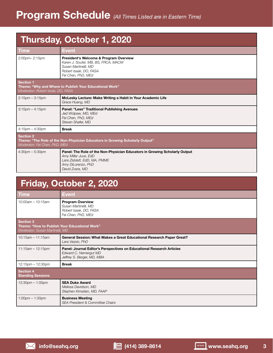## **Thursday, October 1, 2020**

| <b>Time</b>                                                                                                                       | Event                                                                                                                                                                       |  |  |
|-----------------------------------------------------------------------------------------------------------------------------------|-----------------------------------------------------------------------------------------------------------------------------------------------------------------------------|--|--|
| 2:00pm-2:15pm                                                                                                                     | President's Welcome & Program Overview<br>Karen J. Souter, MB, BS, FRCA, MACM<br>Susan Martinelli, MD<br>Robert Isaak, DO, FASA<br>Fei Chen, PhD, MEd                       |  |  |
| Section 1<br>Theme: "Why and Where to Publish Your Educational Work"<br>Moderator: Robert Issak, DO, FASA                         |                                                                                                                                                                             |  |  |
| $2:15$ pm $-3:15$ pm                                                                                                              | McLesky Lecture: Make Writing a Habit in Your Academic Life<br>Grace Huang, MD                                                                                              |  |  |
| $3:15$ pm $-4:15$ pm                                                                                                              | <b>Panel: "Less" Traditional Publishing Avenues</b><br>Jed Wolpaw, MD, MEd<br>Fei Chen, PhD, MEd<br>Steven Shafer, MD                                                       |  |  |
| $4:15$ pm $- 4:30$ pm                                                                                                             | <b>Break</b>                                                                                                                                                                |  |  |
| <b>Section 2</b><br>Theme: "The Role of the Non-Physician Educators in Growing Scholarly Output"<br>Moderator: Fei Chen, PhD, MEd |                                                                                                                                                                             |  |  |
| $4:30$ pm $-5:30$ pm                                                                                                              | Panel: The Role of the Non-Physician Educators in Growing Scholarly Output<br>Amy Miller Juve, EdD<br>Lara Zisblatt, EdD, MA, PMME<br>Amy DiLorenzo, PhD<br>David Zvara, MD |  |  |

| Friday, October 2, 2020                                                                       |                                                                                                                              |  |  |
|-----------------------------------------------------------------------------------------------|------------------------------------------------------------------------------------------------------------------------------|--|--|
| <b>Time</b>                                                                                   | <b>Event</b>                                                                                                                 |  |  |
| $10:00$ am - $10:15$ am                                                                       | <b>Program Overview</b><br>Susan Martinelli, MD<br>Robert Isaak, DO, FASA<br>Fei Chen, PhD, MEd                              |  |  |
| Section 3<br>Theme: "How to Publish Your Educational Work"<br>Moderator: Susan Martinelli, MD |                                                                                                                              |  |  |
| $10:15$ am - 11:15am                                                                          | General Session: What Makes a Great Educational Research Paper Great?<br>Lara Varpio, PhD                                    |  |  |
| $11:15am - 12:15pm$                                                                           | Panel: Journal Editor's Perspectives on Educational Research Articles<br>Edward C. Nemergut MD<br>Jeffrey S. Berger, MD, MBA |  |  |
| 12:15pm - 12:30pm                                                                             | <b>Break</b>                                                                                                                 |  |  |
| Section 4<br><b>Standing Sessions</b>                                                         |                                                                                                                              |  |  |
| $12:30$ pm $-1:00$ pm                                                                         | <b>SEA Duke Award</b><br>Melissa Davidson, MD<br>Stephen Kimatian, MD, FAAP                                                  |  |  |
| $1:00$ pm $-1:30$ pm                                                                          | <b>Business Meeting</b><br><b>SEA President &amp; Committee Chairs</b>                                                       |  |  |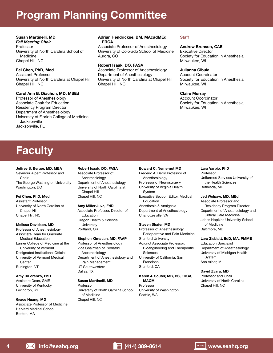## **Program Planning Committee**

#### **Susan Martinelli, MD**

*Fall Meeting Chair* Professor University of North Carolina School of Medicine Chapel Hill, NC

#### **Fei Chen, PhD, Med**

Assistant Professor University of North Carolina at Chapel Hill Chapel Hill, NC

#### **Carol Ann B. Diachun, MD, MSEd**

Professor of Anesthesiology Associate Chair for Education Residency Program Director Department of Anesthesiology University of Florida College of Medicine - **Jacksonville** Jacksonville, FL

#### **Adrian Hendrickse, BM, MAcadMEd, FRCA**

Associate Professor of Anesthesiology University of Colorado School of Medicine Aurora, CO

#### **Robert Isaak, DO, FASA**

Associate Professor of Anesthesiology Department of Anesthesiology University of North Carolina at Chapel Hill Chapel Hill, NC

#### **Staff**

#### **Andrew Bronson, CAE**

Executive Director Society for Education in Anesthesia Milwaukee, WI

#### **Julianna Cibula**

Account Coordinator Society for Education in Anesthesia Milwaukee, WI

#### **Claire Murray**

Account Coordinator Society for Education in Anesthesia Milwaukee, WI

## **Faculty**

#### **Jeffrey S. Berger, MD, MBA**

Seymour Alpert Professor and Chair The George Washington University Washington, DC

#### **Fei Chen, PhD, Med**

Assistant Professor University of North Carolina at Chapel Hill Chapel Hill, NC

#### **Melissa Davidson, MD**

Professor of Anesthesiology Associate Dean for Graduate Medical Education Larner College of Medicine at the University of Vermont Designated Institutional Official University of Vermont Medical **Center** Burlington, VT

#### **Amy DiLorenzo, PhD**

Assistant Dean, GME University of Kentucky Lexington, KY

#### **Grace Huang, MD**

Associate Professor of Medicine Harvard Medical School Boston, MA

#### **Robert Isaak, DO, FASA** Associate Professor of

Anesthesiology Department of Anesthesiology University of North Carolina at Chapel Hill Chapel Hill, NC

#### **Amy Miller Juve, EdD**

Associate Professor, Director of **Education** Oregon Health & Science **University** Portland, OR

#### **Stephen Kimatian, MD, FAAP**

Professor of Anesthesiology Vice Chairman of Pediatric Anesthesiology Department of Anesthesiology and Pain Management UT Southwestern Dallas, TX

#### **Susan Martinelli, MD**

Professor University of North Carolina School of Medicine Chapel Hill, NC

#### **Edward C. Nemergut MD**

Frederic A. Berry Professor of Anesthesiology Professor of Neurosurgery University of Virginia Health System Executive Section Editor, Medical **Education** Anesthesia & Analgesia Department of Anesthesiology Charlottesville, VA

#### **Steven Shafer, MD**

Professor of Anesthesiology, Perioperative and Pain Medicine Stanford University Adjunct Associate Professor, Bioengineering and Therapeutic **Sciences** University of California, San Francisco Stanford, CA

#### **Karen J. Souter, MB, BS, FRCA, MACM**

Professor University of Washington Seattle, WA

#### **Lara Varpio, PhD**

Professor Uniformed Services University of the Health Sciences Bethesda, MD

#### **Jed Wolpaw, MD, MEd**

Associate Professor and Residency Program Director Department of Anesthesiology and Critical Care Medicine Johns Hopkins University School of Medicine Baltimore, MD

#### **Lara Zisblatt, EdD, MA, PMME**

Education Specialist Department of Anesthesiology University of Michigan Health System Ann Arbor, MI

#### **David Zvara, MD**

Professor and Chair University of North Carolina Chapel Hill, NC

**4 info@seahq.org (414) 389-8614 www.seahq.org**